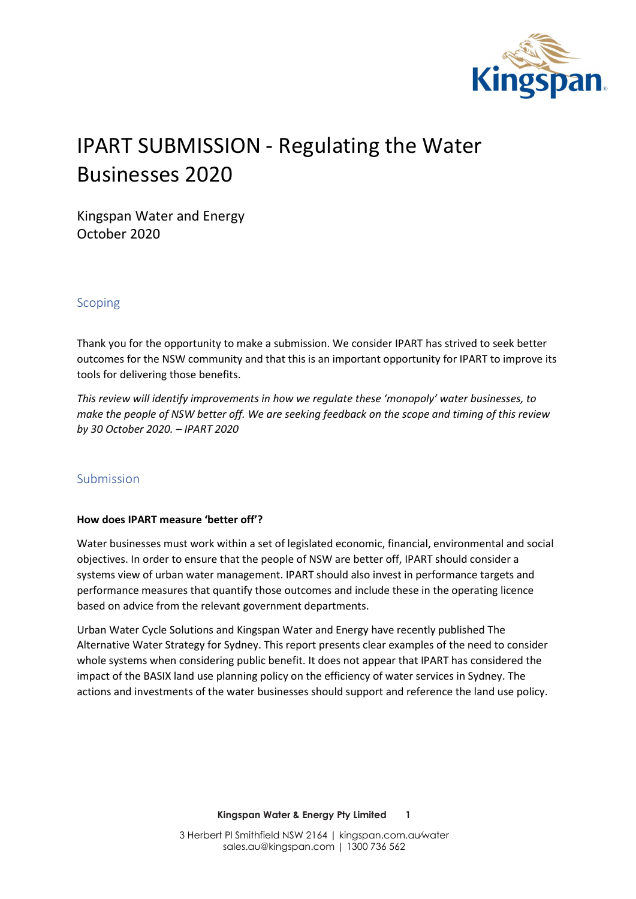

# IPART SUBMISSION - Regulating the Water Businesses 2020

Kingspan Water and Energy October 2020

# Scoping

Thank you for the opportunity to make a submission. We consider IPART has strived to seek better outcomes for the NSW community and that this is an important opportunity for IPART to improve its tools for delivering those benefits.

This review will identify improvements in how we regulate these 'monopoly' water businesses, to make the people of NSW better off. We are seeking feedback on the scope and timing of this review by 30 October 2020. – IPART 2020

## Submission

#### How does IPART measure 'better off'?

Water businesses must work within a set of legislated economic, financial, environmental and social objectives. In order to ensure that the people of NSW are better off, IPART should consider a systems view of urban water management. IPART should also invest in performance targets and performance measures that quantify those outcomes and include these in the operating licence based on advice from the relevant government departments.

Urban Water Cycle Solutions and Kingspan Water and Energy have recently published The Alternative Water Strategy for Sydney. This report presents clear examples of the need to consider whole systems when considering public benefit. It does not appear that IPART has considered the impact of the BASIX land use planning policy on the efficiency of water services in Sydney. The actions and investments of the water businesses should support and reference the land use policy.

Kingspan Water & Energy Pty Limited 1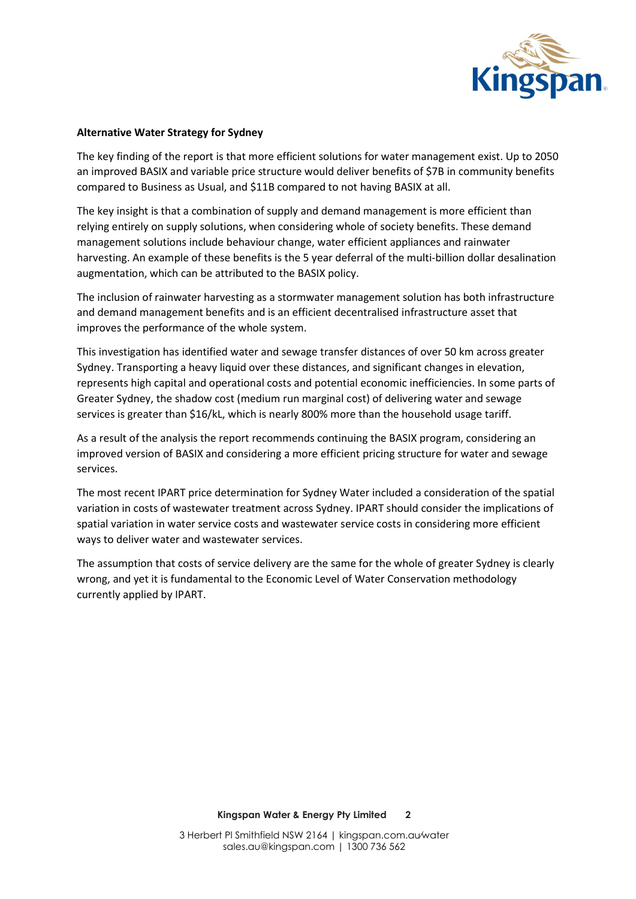

#### Alternative Water Strategy for Sydney

The key finding of the report is that more efficient solutions for water management exist. Up to 2050 an improved BASIX and variable price structure would deliver benefits of \$7B in community benefits compared to Business as Usual, and \$11B compared to not having BASIX at all.

The key insight is that a combination of supply and demand management is more efficient than relying entirely on supply solutions, when considering whole of society benefits. These demand management solutions include behaviour change, water efficient appliances and rainwater harvesting. An example of these benefits is the 5 year deferral of the multi-billion dollar desalination augmentation, which can be attributed to the BASIX policy.

The inclusion of rainwater harvesting as a stormwater management solution has both infrastructure and demand management benefits and is an efficient decentralised infrastructure asset that improves the performance of the whole system.

This investigation has identified water and sewage transfer distances of over 50 km across greater Sydney. Transporting a heavy liquid over these distances, and significant changes in elevation, represents high capital and operational costs and potential economic inefficiencies. In some parts of Greater Sydney, the shadow cost (medium run marginal cost) of delivering water and sewage services is greater than \$16/kL, which is nearly 800% more than the household usage tariff.

As a result of the analysis the report recommends continuing the BASIX program, considering an improved version of BASIX and considering a more efficient pricing structure for water and sewage services.

The most recent IPART price determination for Sydney Water included a consideration of the spatial variation in costs of wastewater treatment across Sydney. IPART should consider the implications of spatial variation in water service costs and wastewater service costs in considering more efficient ways to deliver water and wastewater services.

The assumption that costs of service delivery are the same for the whole of greater Sydney is clearly wrong, and yet it is fundamental to the Economic Level of Water Conservation methodology currently applied by IPART.

Kingspan Water & Energy Pty Limited 2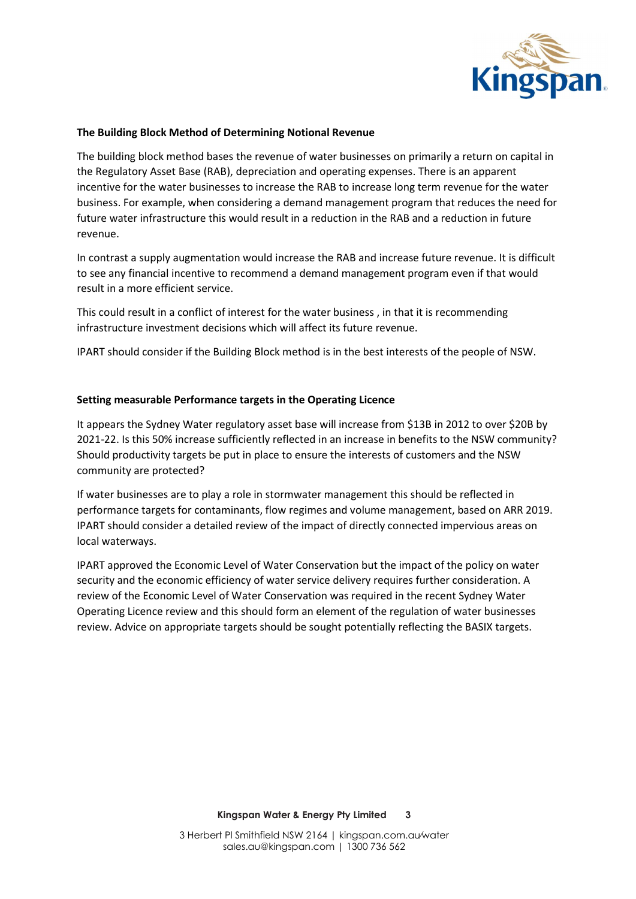

#### The Building Block Method of Determining Notional Revenue

The building block method bases the revenue of water businesses on primarily a return on capital in the Regulatory Asset Base (RAB), depreciation and operating expenses. There is an apparent incentive for the water businesses to increase the RAB to increase long term revenue for the water business. For example, when considering a demand management program that reduces the need for future water infrastructure this would result in a reduction in the RAB and a reduction in future revenue.

In contrast a supply augmentation would increase the RAB and increase future revenue. It is difficult to see any financial incentive to recommend a demand management program even if that would result in a more efficient service.

This could result in a conflict of interest for the water business , in that it is recommending infrastructure investment decisions which will affect its future revenue.

IPART should consider if the Building Block method is in the best interests of the people of NSW.

#### Setting measurable Performance targets in the Operating Licence

It appears the Sydney Water regulatory asset base will increase from \$13B in 2012 to over \$20B by 2021-22. Is this 50% increase sufficiently reflected in an increase in benefits to the NSW community? Should productivity targets be put in place to ensure the interests of customers and the NSW community are protected?

If water businesses are to play a role in stormwater management this should be reflected in performance targets for contaminants, flow regimes and volume management, based on ARR 2019. IPART should consider a detailed review of the impact of directly connected impervious areas on local waterways.

IPART approved the Economic Level of Water Conservation but the impact of the policy on water security and the economic efficiency of water service delivery requires further consideration. A review of the Economic Level of Water Conservation was required in the recent Sydney Water Operating Licence review and this should form an element of the regulation of water businesses review. Advice on appropriate targets should be sought potentially reflecting the BASIX targets.